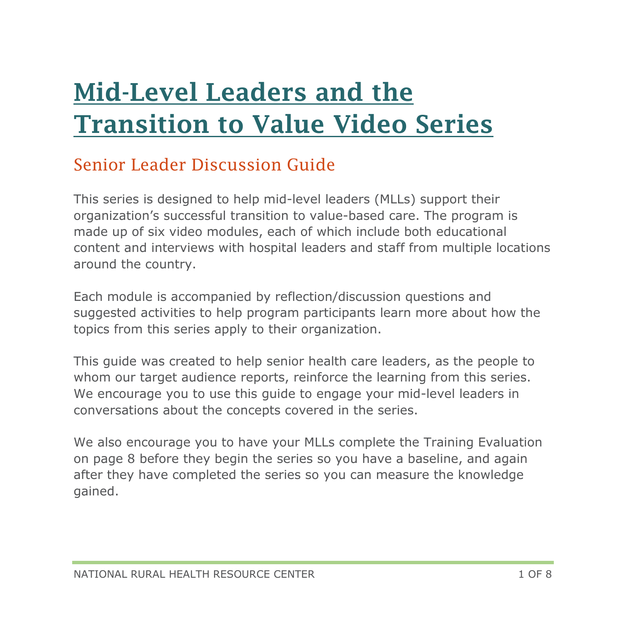# [Mid-Level Leaders and the](https://www.ruralcenter.org/resource-library/mid-level-leaders-and-the-transition-to-value-video-series)  [Transition to Value Video Series](https://www.ruralcenter.org/resource-library/mid-level-leaders-and-the-transition-to-value-video-series)

#### Senior Leader Discussion Guide

This series is designed to help mid-level leaders (MLLs) support their organization's successful transition to value-based care. The program is made up of six video modules, each of which include both educational content and interviews with hospital leaders and staff from multiple locations around the country.

Each module is accompanied by reflection/discussion questions and suggested activities to help program participants learn more about how the topics from this series apply to their organization.

This guide was created to help senior health care leaders, as the people to whom our target audience reports, reinforce the learning from this series. We encourage you to use this guide to engage your mid-level leaders in conversations about the concepts covered in the series.

We also encourage you to have your MLLs complete the Training Evaluation on page 8 before they begin the series so you have a baseline, and again after they have completed the series so you can measure the knowledge gained.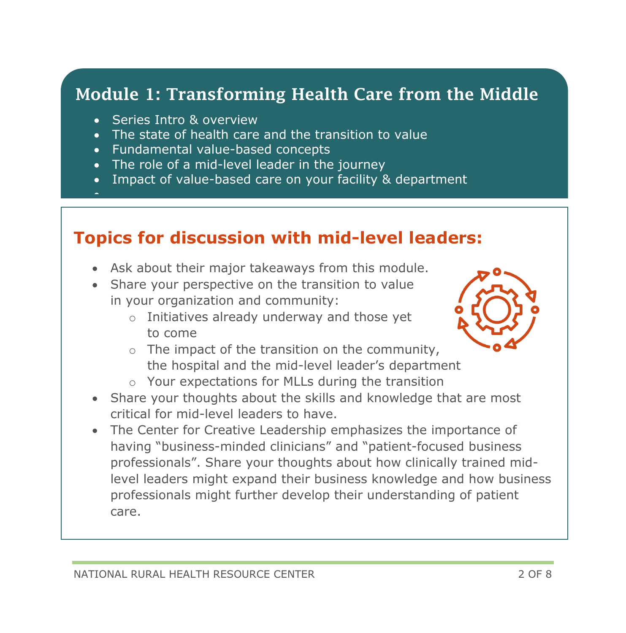## Module 1: Transforming Health Care from the Middle

- **•** Series Intro & overview
- The state of health care and the transition to value
- Fundamental value-based concepts
- The role of a mid-level leader in the journey
- Impact of value-based care on your facility & department
- •

- Ask about their major takeaways from this module.
- Share your perspective on the transition to value in your organization and community:
	- o Initiatives already underway and those yet to come



- o The impact of the transition on the community, the hospital and the mid-level leader's department
- o Your expectations for MLLs during the transition
- Share your thoughts about the skills and knowledge that are most critical for mid-level leaders to have.
- The Center for Creative Leadership emphasizes the importance of having "business-minded clinicians" and "patient-focused business professionals". Share your thoughts about how clinically trained midlevel leaders might expand their business knowledge and how business professionals might further develop their understanding of patient care.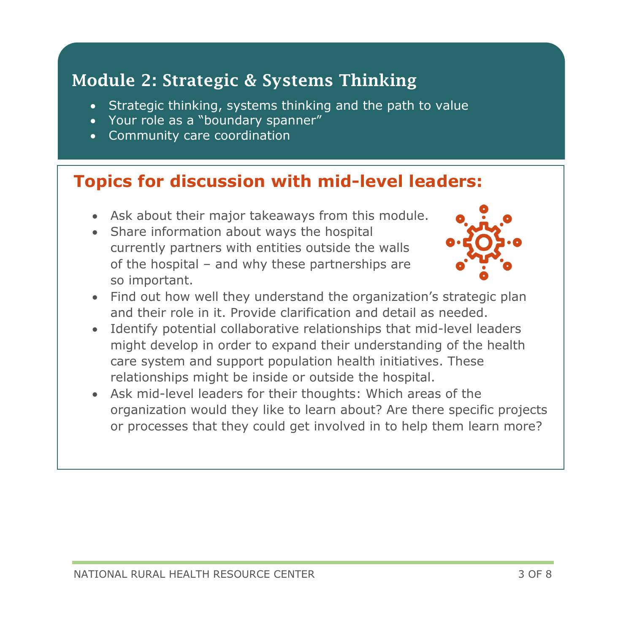# Module 2: Strategic & Systems Thinking

- Strategic thinking, systems thinking and the path to value
- Your role as a "boundary spanner"
- Community care coordination

- Ask about their major takeaways from this module.
- Share information about ways the hospital currently partners with entities outside the walls of the hospital – and why these partnerships are so important.



- Find out how well they understand the organization's strategic plan and their role in it. Provide clarification and detail as needed.
- Identify potential collaborative relationships that mid-level leaders might develop in order to expand their understanding of the health care system and support population health initiatives. These relationships might be inside or outside the hospital.
- Ask mid-level leaders for their thoughts: Which areas of the organization would they like to learn about? Are there specific projects or processes that they could get involved in to help them learn more?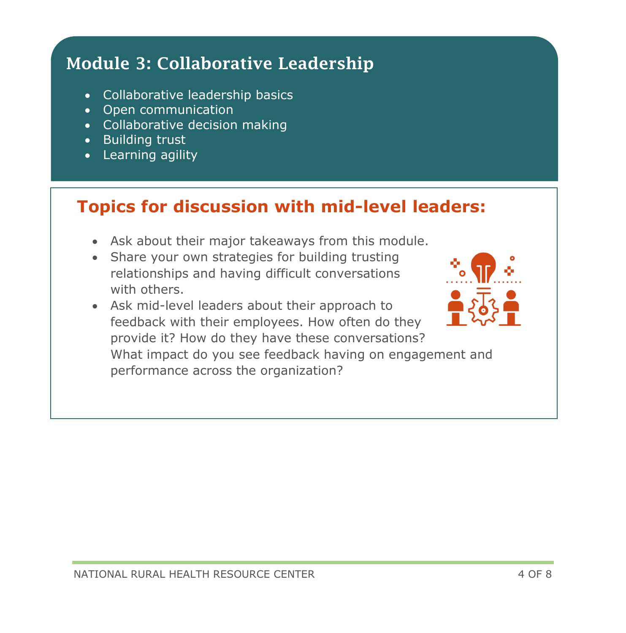# Module 3: Collaborative Leadership

- Collaborative leadership basics
- Open communication
- Collaborative decision making
- Building trust
- Learning agility

- Ask about their major takeaways from this module.
- Share your own strategies for building trusting relationships and having difficult conversations with others.
- Ask mid-level leaders about their approach to feedback with their employees. How often do they provide it? How do they have these conversations? What impact do you see feedback having on engagement and performance across the organization?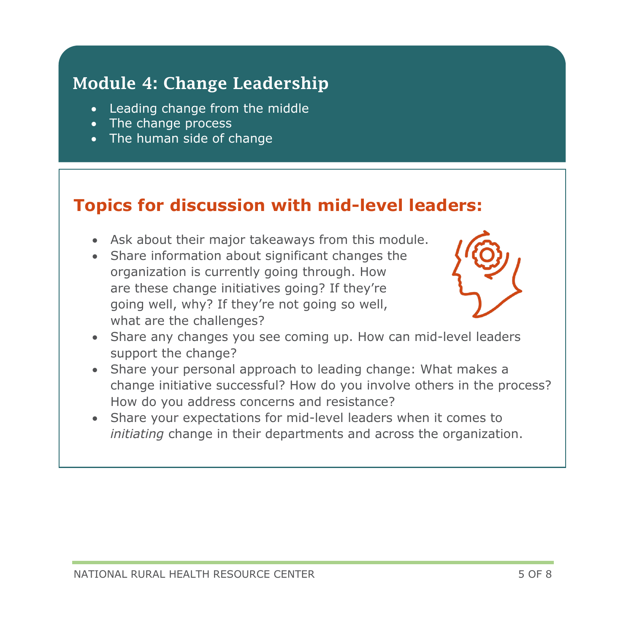#### Module 4: Change Leadership

- Leading change from the middle
- The change process
- The human side of change

- Ask about their major takeaways from this module.
- Share information about significant changes the organization is currently going through. How are these change initiatives going? If they're going well, why? If they're not going so well, what are the challenges?



- Share any changes you see coming up. How can mid-level leaders support the change?
- Share your personal approach to leading change: What makes a change initiative successful? How do you involve others in the process? How do you address concerns and resistance?
- Share your expectations for mid-level leaders when it comes to *initiating* change in their departments and across the organization.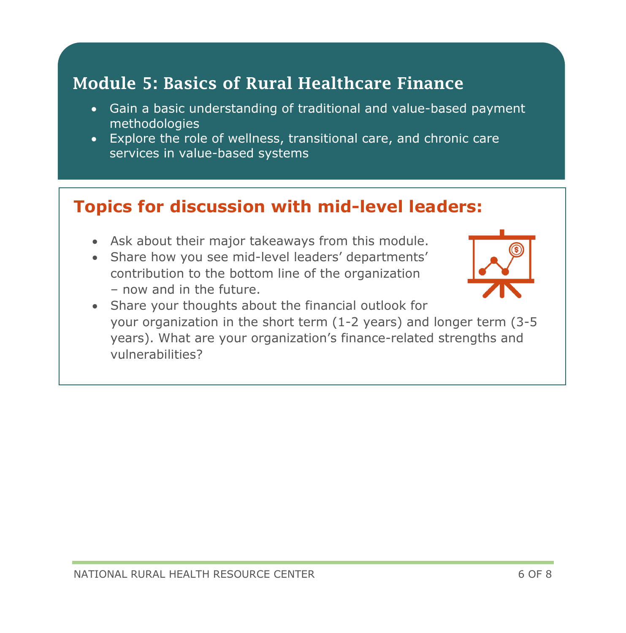#### Module 5: Basics of Rural Healthcare Finance

- Gain a basic understanding of traditional and value-based payment methodologies
- Explore the role of wellness, transitional care, and chronic care services in value-based systems

#### **Topics for discussion with mid-level leaders:**

- Ask about their major takeaways from this module.
- Share how you see mid-level leaders' departments' contribution to the bottom line of the organization – now and in the future.



• Share your thoughts about the financial outlook for your organization in the short term (1-2 years) and longer term (3-5 years). What are your organization's finance-related strengths and vulnerabilities?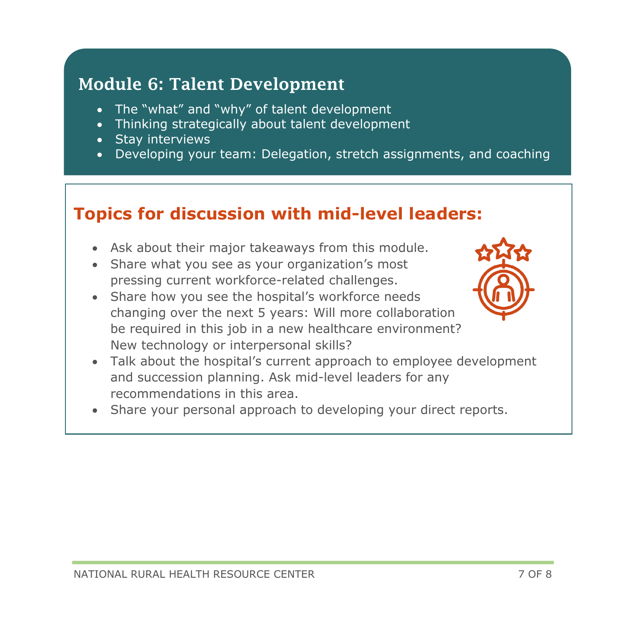#### Module 6: Talent Development

- The "what" and "why" of talent development
- Thinking strategically about talent development
- Stay interviews
- Developing your team: Delegation, stretch assignments, and coaching

- Ask about their major takeaways from this module.
- Share what you see as your organization's most pressing current workforce-related challenges.
- Share how you see the hospital's workforce needs changing over the next 5 years: Will more collaboration be required in this job in a new healthcare environment? New technology or interpersonal skills?



- Talk about the hospital's current approach to employee development and succession planning. Ask mid-level leaders for any recommendations in this area.
- Share your personal approach to developing your direct reports.